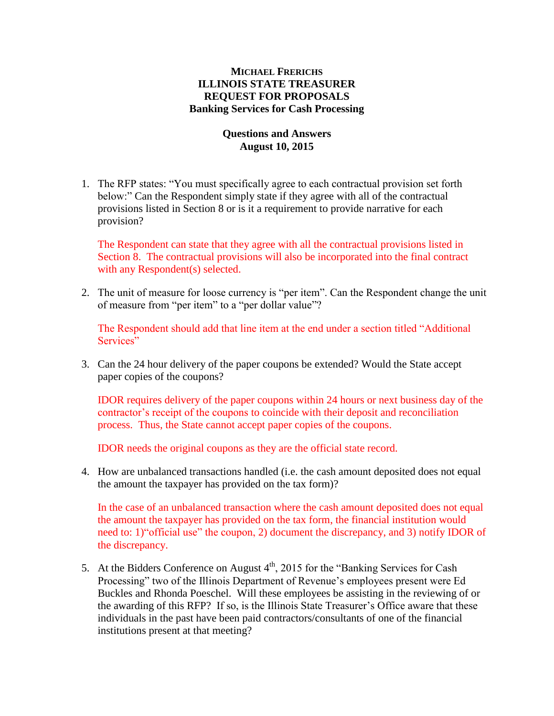## **MICHAEL FRERICHS ILLINOIS STATE TREASURER REQUEST FOR PROPOSALS Banking Services for Cash Processing**

## **Questions and Answers August 10, 2015**

1. The RFP states: "You must specifically agree to each contractual provision set forth below:" Can the Respondent simply state if they agree with all of the contractual provisions listed in Section 8 or is it a requirement to provide narrative for each provision?

The Respondent can state that they agree with all the contractual provisions listed in Section 8. The contractual provisions will also be incorporated into the final contract with any Respondent(s) selected.

2. The unit of measure for loose currency is "per item". Can the Respondent change the unit of measure from "per item" to a "per dollar value"?

The Respondent should add that line item at the end under a section titled "Additional Services"

3. Can the 24 hour delivery of the paper coupons be extended? Would the State accept paper copies of the coupons?

IDOR requires delivery of the paper coupons within 24 hours or next business day of the contractor's receipt of the coupons to coincide with their deposit and reconciliation process. Thus, the State cannot accept paper copies of the coupons.

IDOR needs the original coupons as they are the official state record.

4. How are unbalanced transactions handled (i.e. the cash amount deposited does not equal the amount the taxpayer has provided on the tax form)?

In the case of an unbalanced transaction where the cash amount deposited does not equal the amount the taxpayer has provided on the tax form, the financial institution would need to: 1)"official use" the coupon, 2) document the discrepancy, and 3) notify IDOR of the discrepancy.

5. At the Bidders Conference on August  $4<sup>th</sup>$ , 2015 for the "Banking Services for Cash Processing" two of the Illinois Department of Revenue's employees present were Ed Buckles and Rhonda Poeschel. Will these employees be assisting in the reviewing of or the awarding of this RFP? If so, is the Illinois State Treasurer's Office aware that these individuals in the past have been paid contractors/consultants of one of the financial institutions present at that meeting?